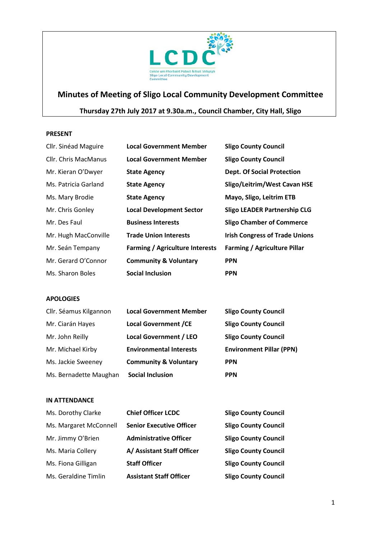

# **Minutes of Meeting of Sligo Local Community Development Committee**

# **Thursday 27th July 2017 at 9.30a.m., Council Chamber, City Hall, Sligo**

#### **PRESENT**

| Cllr. Sinéad Maguire | <b>Local Government Member</b>         | <b>Sligo County Council</b>           |
|----------------------|----------------------------------------|---------------------------------------|
| Cllr. Chris MacManus | <b>Local Government Member</b>         | <b>Sligo County Council</b>           |
| Mr. Kieran O'Dwyer   | <b>State Agency</b>                    | <b>Dept. Of Social Protection</b>     |
| Ms. Patricia Garland | <b>State Agency</b>                    | Sligo/Leitrim/West Cavan HSE          |
| Ms. Mary Brodie      | <b>State Agency</b>                    | Mayo, Sligo, Leitrim ETB              |
| Mr. Chris Gonley     | <b>Local Development Sector</b>        | <b>Sligo LEADER Partnership CLG</b>   |
| Mr. Des Faul         | <b>Business Interests</b>              | <b>Sligo Chamber of Commerce</b>      |
| Mr. Hugh MacConville | <b>Trade Union Interests</b>           | <b>Irish Congress of Trade Unions</b> |
| Mr. Seán Tempany     | <b>Farming / Agriculture Interests</b> | <b>Farming / Agriculture Pillar</b>   |
| Mr. Gerard O'Connor  | <b>Community &amp; Voluntary</b>       | <b>PPN</b>                            |
| Ms. Sharon Boles     | <b>Social Inclusion</b>                | <b>PPN</b>                            |

# **APOLOGIES**

| Cllr. Séamus Kilgannon | <b>Local Government Member</b>   | <b>Sligo County Council</b>     |
|------------------------|----------------------------------|---------------------------------|
| Mr. Ciarán Hayes       | <b>Local Government /CE</b>      | <b>Sligo County Council</b>     |
| Mr. John Reilly        | <b>Local Government / LEO</b>    | <b>Sligo County Council</b>     |
| Mr. Michael Kirby      | <b>Environmental Interests</b>   | <b>Environment Pillar (PPN)</b> |
| Ms. Jackie Sweeney     | <b>Community &amp; Voluntary</b> | <b>PPN</b>                      |
| Ms. Bernadette Maughan | <b>Social Inclusion</b>          | <b>PPN</b>                      |

#### **IN ATTENDANCE**

| Ms. Dorothy Clarke     | <b>Chief Officer LCDC</b>       | <b>Sligo County Council</b> |
|------------------------|---------------------------------|-----------------------------|
| Ms. Margaret McConnell | <b>Senior Executive Officer</b> | <b>Sligo County Council</b> |
| Mr. Jimmy O'Brien      | <b>Administrative Officer</b>   | <b>Sligo County Council</b> |
| Ms. Maria Collery      | A/ Assistant Staff Officer      | <b>Sligo County Council</b> |
| Ms. Fiona Gilligan     | <b>Staff Officer</b>            | <b>Sligo County Council</b> |
| Ms. Geraldine Timlin   | <b>Assistant Staff Officer</b>  | <b>Sligo County Council</b> |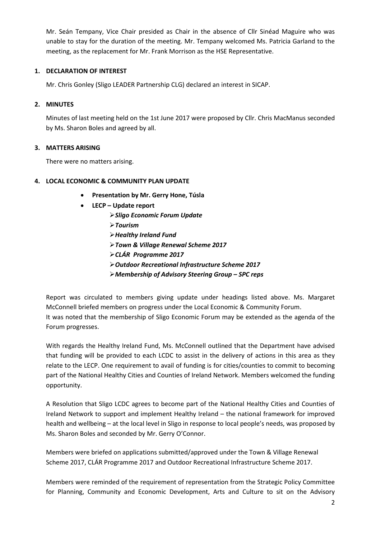Mr. Seán Tempany, Vice Chair presided as Chair in the absence of Cllr Sinéad Maguire who was unable to stay for the duration of the meeting. Mr. Tempany welcomed Ms. Patricia Garland to the meeting, as the replacement for Mr. Frank Morrison as the HSE Representative.

# **1. DECLARATION OF INTEREST**

Mr. Chris Gonley (Sligo LEADER Partnership CLG) declared an interest in SICAP.

# **2. MINUTES**

Minutes of last meeting held on the 1st June 2017 were proposed by Cllr. Chris MacManus seconded by Ms. Sharon Boles and agreed by all.

# **3. MATTERS ARISING**

There were no matters arising.

# **4. LOCAL ECONOMIC & COMMUNITY PLAN UPDATE**

- **Presentation by Mr. Gerry Hone, Túsla**
- **LECP – Update report**
	- *Sligo Economic Forum Update*
	- *Tourism*
	- *Healthy Ireland Fund*
	- *Town & Village Renewal Scheme 2017*
	- *CLÁR Programme 2017*
	- *Outdoor Recreational Infrastructure Scheme 2017*
	- *Membership of Advisory Steering Group – SPC reps*

Report was circulated to members giving update under headings listed above. Ms. Margaret McConnell briefed members on progress under the Local Economic & Community Forum. It was noted that the membership of Sligo Economic Forum may be extended as the agenda of the Forum progresses.

With regards the Healthy Ireland Fund, Ms. McConnell outlined that the Department have advised that funding will be provided to each LCDC to assist in the delivery of actions in this area as they relate to the LECP. One requirement to avail of funding is for cities/counties to commit to becoming part of the National Healthy Cities and Counties of Ireland Network. Members welcomed the funding opportunity.

A Resolution that Sligo LCDC agrees to become part of the National Healthy Cities and Counties of Ireland Network to support and implement Healthy Ireland – the national framework for improved health and wellbeing – at the local level in Sligo in response to local people's needs, was proposed by Ms. Sharon Boles and seconded by Mr. Gerry O'Connor.

Members were briefed on applications submitted/approved under the Town & Village Renewal Scheme 2017, CLÁR Programme 2017 and Outdoor Recreational Infrastructure Scheme 2017.

Members were reminded of the requirement of representation from the Strategic Policy Committee for Planning, Community and Economic Development, Arts and Culture to sit on the Advisory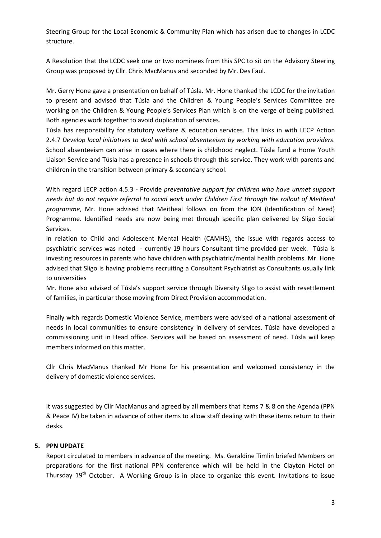Steering Group for the Local Economic & Community Plan which has arisen due to changes in LCDC structure.

A Resolution that the LCDC seek one or two nominees from this SPC to sit on the Advisory Steering Group was proposed by Cllr. Chris MacManus and seconded by Mr. Des Faul.

Mr. Gerry Hone gave a presentation on behalf of Túsla. Mr. Hone thanked the LCDC for the invitation to present and advised that Túsla and the Children & Young People's Services Committee are working on the Children & Young People's Services Plan which is on the verge of being published. Both agencies work together to avoid duplication of services.

Túsla has responsibility for statutory welfare & education services. This links in with LECP Action 2.4.7 *Develop local initiatives to deal with school absenteeism by working with education providers*. School absenteeism can arise in cases where there is childhood neglect. Túsla fund a Home Youth Liaison Service and Túsla has a presence in schools through this service. They work with parents and children in the transition between primary & secondary school.

With regard LECP action 4.5.3 - Provide *preventative support for children who have unmet support needs but do not require referral to social work under Children First through the rollout of Meitheal programme*, Mr. Hone advised that Meitheal follows on from the ION (Identification of Need) Programme. Identified needs are now being met through specific plan delivered by Sligo Social Services.

In relation to Child and Adolescent Mental Health (CAMHS), the issue with regards access to psychiatric services was noted - currently 19 hours Consultant time provided per week. Túsla is investing resources in parents who have children with psychiatric/mental health problems. Mr. Hone advised that Sligo is having problems recruiting a Consultant Psychiatrist as Consultants usually link to universities

Mr. Hone also advised of Túsla's support service through Diversity Sligo to assist with resettlement of families, in particular those moving from Direct Provision accommodation.

Finally with regards Domestic Violence Service, members were advised of a national assessment of needs in local communities to ensure consistency in delivery of services. Túsla have developed a commissioning unit in Head office. Services will be based on assessment of need. Túsla will keep members informed on this matter.

Cllr Chris MacManus thanked Mr Hone for his presentation and welcomed consistency in the delivery of domestic violence services.

It was suggested by Cllr MacManus and agreed by all members that Items 7 & 8 on the Agenda (PPN & Peace IV) be taken in advance of other items to allow staff dealing with these items return to their desks.

# **5. PPN UPDATE**

Report circulated to members in advance of the meeting. Ms. Geraldine Timlin briefed Members on preparations for the first national PPN conference which will be held in the Clayton Hotel on Thursday  $19<sup>th</sup>$  October. A Working Group is in place to organize this event. Invitations to issue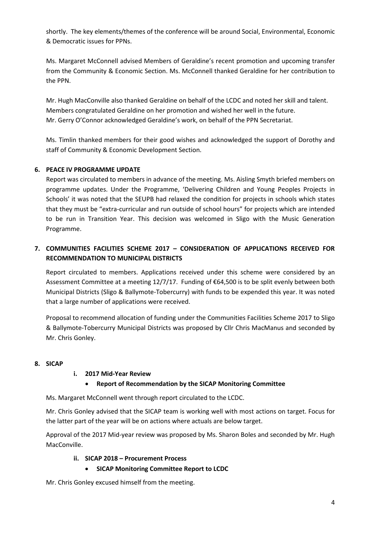shortly. The key elements/themes of the conference will be around Social, Environmental, Economic & Democratic issues for PPNs.

Ms. Margaret McConnell advised Members of Geraldine's recent promotion and upcoming transfer from the Community & Economic Section. Ms. McConnell thanked Geraldine for her contribution to the PPN.

Mr. Hugh MacConville also thanked Geraldine on behalf of the LCDC and noted her skill and talent. Members congratulated Geraldine on her promotion and wished her well in the future. Mr. Gerry O'Connor acknowledged Geraldine's work, on behalf of the PPN Secretariat.

Ms. Timlin thanked members for their good wishes and acknowledged the support of Dorothy and staff of Community & Economic Development Section.

# **6. PEACE IV PROGRAMME UPDATE**

Report was circulated to members in advance of the meeting. Ms. Aisling Smyth briefed members on programme updates. Under the Programme, 'Delivering Children and Young Peoples Projects in Schools' it was noted that the SEUPB had relaxed the condition for projects in schools which states that they must be "extra-curricular and run outside of school hours" for projects which are intended to be run in Transition Year. This decision was welcomed in Sligo with the Music Generation Programme.

# **7. COMMUNITIES FACILITIES SCHEME 2017 – CONSIDERATION OF APPLICATIONS RECEIVED FOR RECOMMENDATION TO MUNICIPAL DISTRICTS**

Report circulated to members. Applications received under this scheme were considered by an Assessment Committee at a meeting 12/7/17. Funding of €64,500 is to be split evenly between both Municipal Districts (Sligo & Ballymote-Tobercurry) with funds to be expended this year. It was noted that a large number of applications were received.

Proposal to recommend allocation of funding under the Communities Facilities Scheme 2017 to Sligo & Ballymote-Tobercurry Municipal Districts was proposed by Cllr Chris MacManus and seconded by Mr. Chris Gonley.

# **8. SICAP**

# **i. 2017 Mid-Year Review**

# • **Report of Recommendation by the SICAP Monitoring Committee**

Ms. Margaret McConnell went through report circulated to the LCDC.

Mr. Chris Gonley advised that the SICAP team is working well with most actions on target. Focus for the latter part of the year will be on actions where actuals are below target.

Approval of the 2017 Mid-year review was proposed by Ms. Sharon Boles and seconded by Mr. Hugh MacConville.

# **ii. SICAP 2018 – Procurement Process**

• **SICAP Monitoring Committee Report to LCDC**

Mr. Chris Gonley excused himself from the meeting.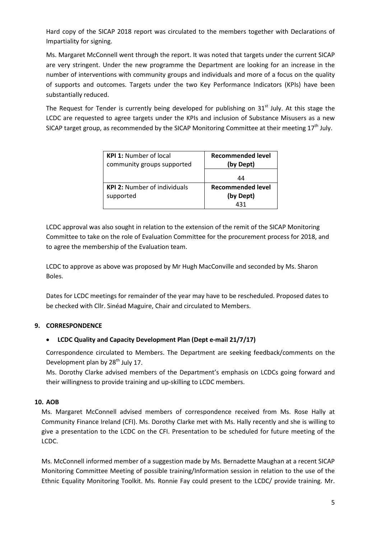Hard copy of the SICAP 2018 report was circulated to the members together with Declarations of Impartiality for signing.

Ms. Margaret McConnell went through the report. It was noted that targets under the current SICAP are very stringent. Under the new programme the Department are looking for an increase in the number of interventions with community groups and individuals and more of a focus on the quality of supports and outcomes. Targets under the two Key Performance Indicators (KPIs) have been substantially reduced.

The Request for Tender is currently being developed for publishing on  $31<sup>st</sup>$  July. At this stage the LCDC are requested to agree targets under the KPIs and inclusion of Substance Misusers as a new SICAP target group, as recommended by the SICAP Monitoring Committee at their meeting  $17^{\text{th}}$  July.

| <b>KPI 1:</b> Number of local<br>community groups supported | <b>Recommended level</b><br>(by Dept) |
|-------------------------------------------------------------|---------------------------------------|
|                                                             | 44                                    |
| <b>KPI 2:</b> Number of individuals                         | <b>Recommended level</b>              |
| supported                                                   | (by Dept)                             |
|                                                             | 431                                   |

LCDC approval was also sought in relation to the extension of the remit of the SICAP Monitoring Committee to take on the role of Evaluation Committee for the procurement process for 2018, and to agree the membership of the Evaluation team.

LCDC to approve as above was proposed by Mr Hugh MacConville and seconded by Ms. Sharon Boles.

Dates for LCDC meetings for remainder of the year may have to be rescheduled. Proposed dates to be checked with Cllr. Sinéad Maguire, Chair and circulated to Members.

# **9. CORRESPONDENCE**

# • **LCDC Quality and Capacity Development Plan (Dept e-mail 21/7/17)**

Correspondence circulated to Members. The Department are seeking feedback/comments on the Development plan by 28<sup>th</sup> July 17.

Ms. Dorothy Clarke advised members of the Department's emphasis on LCDCs going forward and their willingness to provide training and up-skilling to LCDC members.

# **10. AOB**

Ms. Margaret McConnell advised members of correspondence received from Ms. Rose Hally at Community Finance Ireland (CFI). Ms. Dorothy Clarke met with Ms. Hally recently and she is willing to give a presentation to the LCDC on the CFI. Presentation to be scheduled for future meeting of the LCDC.

Ms. McConnell informed member of a suggestion made by Ms. Bernadette Maughan at a recent SICAP Monitoring Committee Meeting of possible training/Information session in relation to the use of the Ethnic Equality Monitoring Toolkit. Ms. Ronnie Fay could present to the LCDC/ provide training. Mr.